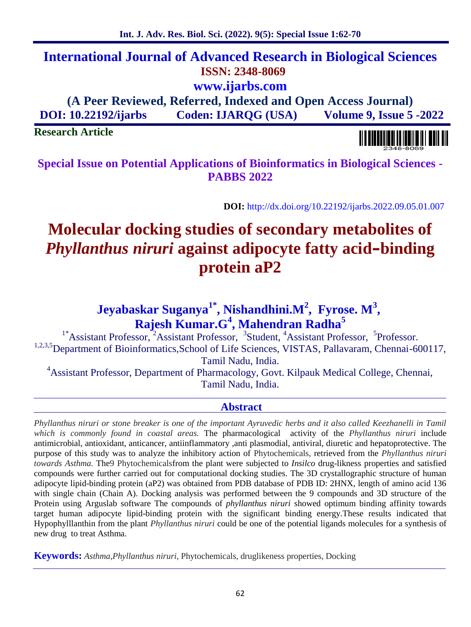# **International Journal of Advanced Research in Biological Sciences ISSN: 2348-8069 www.ijarbs.com**

**(A Peer Reviewed, Referred, Indexed and Open Access Journal) DOI: 10.22192/ijarbs Coden: IJARQG (USA) Volume 9, Issue 5 -2022**

**Research Article**

**Special Issue on Potential Applications of Bioinformatics in Biological Sciences - PABBS 2022**

**DOI:** http://dx.doi.org/10.22192/ijarbs.2022.09.05.01.007

# **Molecular docking studies of secondary metabolites of** *Phyllanthus niruri* **against adipocyte fatty acid–binding protein aP2**

# **Jeyabaskar Suganya1\* , Nishandhini.M<sup>2</sup> , Fyrose. M<sup>3</sup> , Rajesh Kumar.G<sup>4</sup> , Mahendran Radha<sup>5</sup>**

<sup>1\*</sup>Assistant Professor, <sup>2</sup>Assistant Professor, <sup>3</sup>Student, <sup>4</sup>Assistant Professor, <sup>5</sup>Professor. <sup>1,2,3,5</sup>Department of Bioinformatics,School of Life Sciences, VISTAS, Pallavaram, Chennai-600117, Tamil Nadu, India.

<sup>4</sup>Assistant Professor, Department of Pharmacology, Govt. Kilpauk Medical College, Chennai, Tamil Nadu, India.

# **Abstract**

*Phyllanthus niruri or stone breaker is one of the important Ayruvedic herbs and it also called Keezhanelli in Tamil which is commonly found in coastal areas.* The pharmacological activity of the *Phyllanthus niruri* include antimicrobial, antioxidant, anticancer, antiinflammatory ,anti plasmodial, antiviral, diuretic and hepatoprotective. The purpose of this study was to analyze the inhibitory action of Phytochemicals, retrieved from the *Phyllanthus niruri towards Asthma.* The9 Phytochemicalsfrom the plant were subjected to *Insilco* drug-likness properties and satisfied compounds were further carried out for computational docking studies. The 3D crystallographic structure of human adipocyte lipid-binding protein (aP2) was obtained from PDB database of PDB ID: 2HNX, length of amino acid 136 with single chain (Chain A). Docking analysis was performed between the 9 compounds and 3D structure of the Protein using Arguslab software The compounds of *phyllanthus niruri* showed optimum binding affinity towards target human adipocyte lipid-binding protein with the significant binding energy.These results indicated that Hypophylllanthin from the plant *Phyllanthus niruri* could be one of the potential ligands molecules for a synthesis of new drug to treat Asthma.

**Keywords:** *Asthma,Phyllanthus niruri,* Phytochemicals, druglikeness properties, Docking

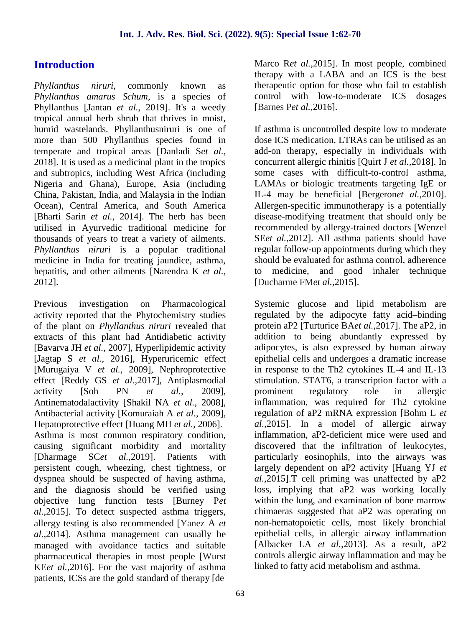# **Introduction**

*Phyllanthus niruri,* commonly known as *Phyllanthus amarus Schum*, is a species of Phyllanthus [Jantan *et al.,* 2019]. It's a weedy tropical annual herb shrub that thrives in moist, humid wastelands. Phyllanthusniruri is one of more than 500 Phyllanthus species found in temperate and tropical areas [Danladi S*et al.,* 2018]. It is used as a medicinal plant in the tropics and subtropics, including West Africa (including Nigeria and Ghana), Europe, Asia (including China, Pakistan, India, and Malaysia in the Indian Ocean), Central America, and South America [Bharti Sarin *et al.,* 2014]. The herb has been utilised in Ayurvedic traditional medicine for thousands of years to treat a variety of ailments. *Phyllanthus niruri* is a popular traditional medicine in India for treating jaundice, asthma, hepatitis, and other ailments [Narendra K *et al.,* 2012]*.*

Previous investigation on Pharmacological activity reported that the Phytochemistry studies of the plant on *Phyllanthus niruri* revealed that extracts of this plant had Antidiabetic activity [Bavarva JH *et al.,* 2007], Hyperlipidemic activity [Jagtap S *et al.,* 2016], Hyperuricemic effect [Murugaiya V *et al.,* 2009], Nephroprotective effect [Reddy GS *et al.,*2017], Antiplasmodial activity [Soh PN *et al.,* 2009], Antinematodalactivity [Shakil NA *et al.,* 2008], Antibacterial activity [Komuraiah A *et al.,* 2009], Hepatoprotective effect [Huang MH *et al.,* 2006]. Asthma is most common respiratory condition, causing significant morbidity and mortality [Dharmage SC*et al.,*2019]. Patients with persistent cough, wheezing, chest tightness, or dyspnea should be suspected of having asthma, and the diagnosis should be verified using objective lung function tests [Burney P*et al.,*2015]. To detect suspected asthma triggers, allergy testing is also recommended [Yanez A *et al.,*2014]. Asthma management can usually be managed with avoidance tactics and suitable pharmaceutical therapies in most people [Wurst KE*et al.,*2016]. For the vast majority of asthma patients, ICSs are the gold standard of therapy [de

Marco R*et al.,*2015]. In most people, combined therapy with a LABA and an ICS is the best therapeutic option for those who fail to establish control with low-to-moderate ICS dosages [Barnes P*et al.,*2016].

If asthma is uncontrolled despite low to moderate dose ICS medication, LTRAs can be utilised as an add-on therapy, especially in individuals with concurrent allergic rhinitis [Quirt J *et al.,*2018]. In some cases with difficult-to-control asthma, LAMAs or biologic treatments targeting IgE or IL-4 may be beneficial [Bergeron*et al.,*2010]. Allergen-specific immunotherapy is a potentially disease-modifying treatment that should only be recommended by allergy-trained doctors [Wenzel SE*et al.,*2012]. All asthma patients should have regular follow-up appointments during which they should be evaluated for asthma control, adherence to medicine, and good inhaler technique [Ducharme FM*et al.,*2015].

Systemic glucose and lipid metabolism are regulated by the adipocyte fatty acid–binding protein aP2 [Turturice BA*et al.,*2017]. The aP2, in addition to being abundantly expressed by adipocytes, is also expressed by human airway epithelial cells and undergoes a dramatic increase in response to the Th2 cytokines IL-4 and IL-13 stimulation. STAT6, a transcription factor with a prominent regulatory role in allergic inflammation, was required for Th2 cytokine regulation of aP2 mRNA expression [Bohm L *et al.,*2015]. In a model of allergic airway inflammation, aP2-deficient mice were used and discovered that the infiltration of leukocytes, particularly eosinophils, into the airways was largely dependent on aP2 activity [Huang YJ *et al.,*2015].T cell priming was unaffected by aP2 loss, implying that aP2 was working locally within the lung, and examination of bone marrow chimaeras suggested that aP2 was operating on non-hematopoietic cells, most likely bronchial epithelial cells, in allergic airway inflammation [Albacker LA *et al.,*2013]. As a result, aP2 controls allergic airway inflammation and may be linked to fatty acid metabolism and asthma.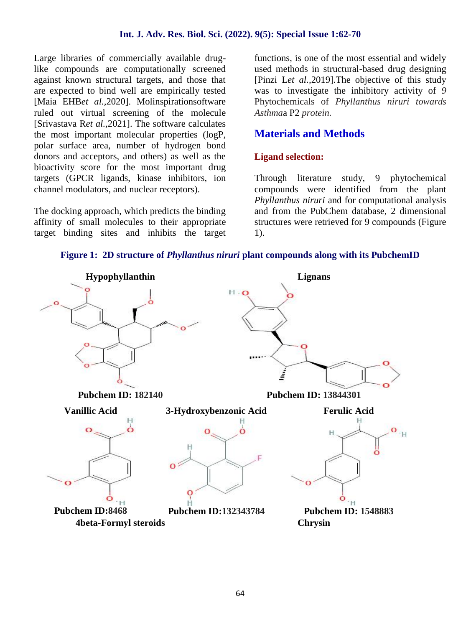Large libraries of commercially available druglike compounds are computationally screened against known structural targets, and those that are expected to bind well are empirically tested [Maia EHB*et al.,*2020]. Molinspirationsoftware ruled out virtual screening of the molecule [Srivastava R*et al.,*2021]. The software calculates the most important molecular properties (logP, polar surface area, number of hydrogen bond donors and acceptors, and others) as well as the bioactivity score for the most important drug targets (GPCR ligands, kinase inhibitors, ion channel modulators, and nuclear receptors).

The docking approach, which predicts the binding affinity of small molecules to their appropriate target binding sites and inhibits the target functions, is one of the most essential and widely used methods in structural-based drug designing [Pinzi L*et al.,*2019].The objective of this study was to investigate the inhibitory activity of *9* Phytochemicals of *Phyllanthus niruri towards Asthma*a P2 *protein.*

# **Materials and Methods**

#### **Ligand selection:**

Through literature study, 9 phytochemical compounds were identified from the plant *Phyllanthus niruri* and for computational analysis and from the PubChem database, 2 dimensional structures were retrieved for 9 compounds (Figure 1).



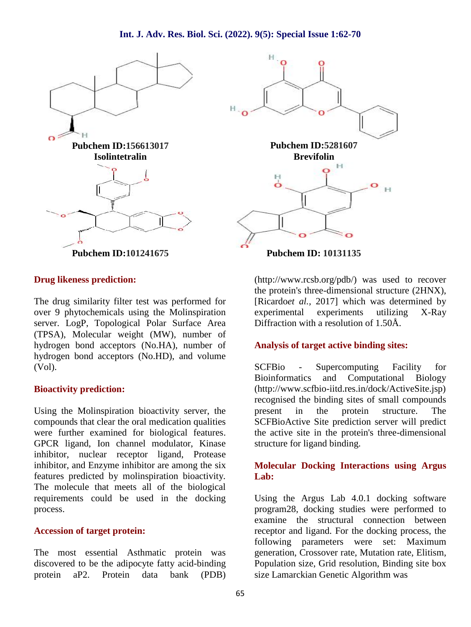

#### **Drug likeness prediction:**

The drug similarity filter test was performed for over 9 phytochemicals using the Molinspiration server. LogP, Topological Polar Surface Area (TPSA), Molecular weight (MW), number of hydrogen bond acceptors (No.HA), number of hydrogen bond acceptors (No.HD), and volume (Vol).

#### **Bioactivity prediction:**

Using the Molinspiration bioactivity server, the present compounds that clear the oral medication qualities were further examined for biological features. GPCR ligand, Ion channel modulator, Kinase inhibitor, nuclear receptor ligand, Protease inhibitor, and Enzyme inhibitor are among the six features predicted by molinspiration bioactivity. The molecule that meets all of the biological requirements could be used in the docking process.

#### **Accession of target protein:**

The most essential Asthmatic protein was discovered to be the adipocyte fatty acid-binding protein aP2. Protein data bank (PDB)



**Pubchem ID: 10131135**

(http://www.rcsb.org/pdb/) was used to recover the protein's three-dimensional structure (2HNX), [Ricardo*et al.,* 2017] which was determined by experimental experiments utilizing X-Ray Diffraction with a resolution of 1.50Å.

#### **Analysis of target active binding sites:**

SCFBio - Supercomputing Facility for Bioinformatics and Computational Biology (http://www.scfbio-iitd.res.in/dock/ActiveSite.jsp) recognised the binding sites of small compounds in the protein structure. The SCFBioActive Site prediction server will predict the active site in the protein's three-dimensional structure for ligand binding.

#### **Molecular Docking Interactions using Argus Lab:**

Using the Argus Lab 4.0.1 docking software program28, docking studies were performed to examine the structural connection between receptor and ligand. For the docking process, the following parameters were set: Maximum generation, Crossover rate, Mutation rate, Elitism, Population size, Grid resolution, Binding site box size Lamarckian Genetic Algorithm was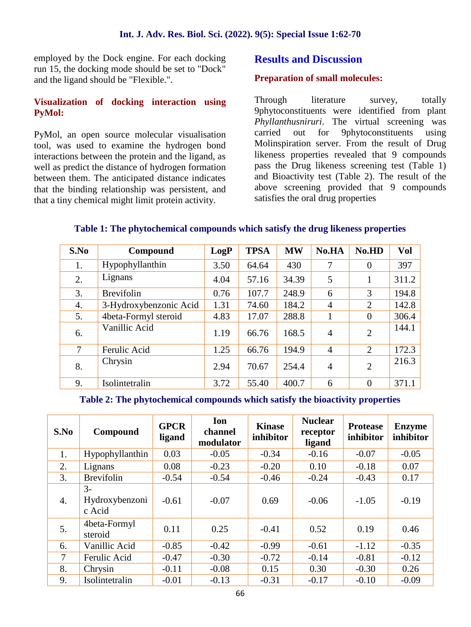employed by the Dock engine. For each docking run 15, the docking mode should be set to "Dock" and the ligand should be "Flexible.".

## **Visualization of docking interaction using PyMol:**

PyMol, an open source molecular visualisation tool, was used to examine the hydrogen bond interactions between the protein and the ligand, as well as predict the distance of hydrogen formation between them. The anticipated distance indicates that the binding relationship was persistent, and that a tiny chemical might limit protein activity.

# **Results and Discussion**

#### **Preparation of small molecules:**

literature survey, totally 9phytoconstituents were identified from plant *Phyllanthusniruri*. The virtual screening was out for 9phytoconstituents using Molinspiration server. From the result of Drug likeness properties revealed that 9 compounds pass the Drug likeness screening test (Table 1) and Bioactivity test (Table 2). The result of the above screening provided that 9 compounds satisfies the oral drug properties

| S.No | Compound               | LogP | <b>TPSA</b> | <b>MW</b> | No.HA          | No.HD          | Vol   |
|------|------------------------|------|-------------|-----------|----------------|----------------|-------|
| 1.   | Hypophyllanthin        | 3.50 | 64.64       | 430       | 7              | $\overline{0}$ | 397   |
| 2.   | Lignans                | 4.04 | 57.16       | 34.39     | 5              | л.             | 311.2 |
| 3.   | <b>Brevifolin</b>      | 0.76 | 107.7       | 248.9     | 6              | 3              | 194.8 |
| 4.   | 3-Hydroxybenzonic Acid | 1.31 | 74.60       | 184.2     | $\overline{4}$ | $\overline{2}$ | 142.8 |
| 5.   | 4beta-Formyl steroid   | 4.83 | 17.07       | 288.8     |                | $\overline{0}$ | 306.4 |
| 6.   | Vanillic Acid          | 1.19 | 66.76       | 168.5     | $\overline{4}$ | $\overline{2}$ | 144.1 |
| 7    | Ferulic Acid           | 1.25 | 66.76       | 194.9     | $\overline{4}$ | $\overline{2}$ | 172.3 |
| 8.   | Chrysin                | 2.94 | 70.67       | 254.4     | $\overline{4}$ | $\overline{2}$ | 216.3 |
| 9.   | Isolintetralin         | 3.72 | 55.40       | 400.7     | 6              | $\overline{0}$ | 371.1 |

### **Table 1: The phytochemical compounds which satisfy the drug likeness properties**

#### **Table 2: The phytochemical compounds which satisfy the bioactivity properties**

| S.No   | Compound                         | <b>GPCR</b><br>ligand | Ion<br>channel<br>modulator | <b>Kinase</b><br>inhibitor | <b>Nuclear</b><br>receptor<br>ligand | <b>Protease</b><br>inhibitor | <b>Enzyme</b><br>inhibitor |
|--------|----------------------------------|-----------------------|-----------------------------|----------------------------|--------------------------------------|------------------------------|----------------------------|
| 1.     | Hypophyllanthin                  | 0.03                  | $-0.05$                     | $-0.34$                    | $-0.16$                              | $-0.07$                      | $-0.05$                    |
| 2.     | Lignans                          | 0.08                  | $-0.23$                     | $-0.20$                    | 0.10                                 | $-0.18$                      | 0.07                       |
| 3.     | <b>Brevifolin</b>                | $-0.54$               | $-0.54$                     | $-0.46$                    | $-0.24$                              | $-0.43$                      | 0.17                       |
| 4.     | $3-$<br>Hydroxybenzoni<br>c Acid | $-0.61$               | $-0.07$                     | 0.69                       | $-0.06$                              | $-1.05$                      | $-0.19$                    |
| 5.     | 4beta-Formyl<br>steroid          | 0.11                  | 0.25                        | $-0.41$                    | 0.52                                 | 0.19                         | 0.46                       |
| 6.     | Vanillic Acid                    | $-0.85$               | $-0.42$                     | $-0.99$                    | $-0.61$                              | $-1.12$                      | $-0.35$                    |
| $\tau$ | Ferulic Acid                     | $-0.47$               | $-0.30$                     | $-0.72$                    | $-0.14$                              | $-0.81$                      | $-0.12$                    |
| 8.     | Chrysin                          | $-0.11$               | $-0.08$                     | 0.15                       | 0.30                                 | $-0.30$                      | 0.26                       |
| 9.     | Isolintetralin                   | $-0.01$               | $-0.13$                     | $-0.31$                    | $-0.17$                              | $-0.10$                      | $-0.09$                    |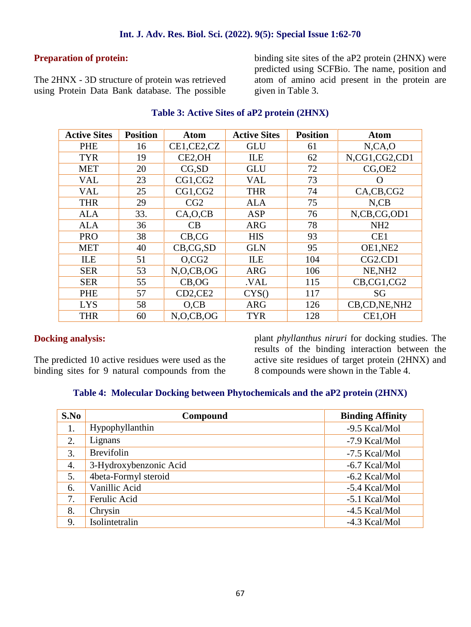#### **Preparation of protein:**

The 2HNX - 3D structure of protein was retrieved using Protein Data Bank database. The possible

binding site sites of the aP2 protein (2HNX) were predicted using SCFBio. The name, position and atom of amino acid present in the protein are given in Table 3.

| <b>Active Sites</b> | <b>Position</b> | <b>Atom</b>  | <b>Active Sites</b> | <b>Position</b> | <b>Atom</b>                      |
|---------------------|-----------------|--------------|---------------------|-----------------|----------------------------------|
| PHE                 | 16              | CE1,CE2,CZ   | <b>GLU</b>          | 61              | N, CA, O                         |
| <b>TYR</b>          | 19              | CE2,OH       | ILE                 | 62              | N,CG1,CG2,CD1                    |
| <b>MET</b>          | 20              | CG, SD       | <b>GLU</b>          | 72              | CG,OE2                           |
| <b>VAL</b>          | 23              | CG1,CG2      | <b>VAL</b>          | 73              | $\mathcal{O}$                    |
| <b>VAL</b>          | 25              | CG1, CG2     | <b>THR</b>          | 74              | CA, CB, CG2                      |
| <b>THR</b>          | 29              | CG2          | <b>ALA</b>          | 75              | $N$ , $CB$                       |
| <b>ALA</b>          | 33.             | CA, O, CB    | <b>ASP</b>          | 76              | N,CB,CG,OD1                      |
| <b>ALA</b>          | 36              | CB           | <b>ARG</b>          | 78              | NH <sub>2</sub>                  |
| <b>PRO</b>          | 38              | CB, CG       | <b>HIS</b>          | 93              | CE1                              |
| <b>MET</b>          | 40              | CB, CG, SD   | <b>GLN</b>          | 95              | OE1,NE2                          |
| ILE                 | 51              | O, CG2       | ILE                 | 104             | CG <sub>2</sub> .CD <sub>1</sub> |
| <b>SER</b>          | 53              | N, O, CB, OG | <b>ARG</b>          | 106             | NE, NH <sub>2</sub>              |
| <b>SER</b>          | 55              | CB, OG       | .VAL                | 115             | CB,CG1,CG2                       |
| PHE                 | 57              | CD2,CE2      | CYS()               | 117             | SG                               |
| <b>LYS</b>          | 58              | $O$ , $CB$   | <b>ARG</b>          | 126             | CB,CD,NE,NH2                     |
| <b>THR</b>          | 60              | N.O.CB.OG    | <b>TYR</b>          | 128             | CE1,OH                           |

#### **Table 3: Active Sites of aP2 protein (2HNX)**

#### **Docking analysis:**

The predicted 10 active residues were used as the binding sites for 9 natural compounds from the

plant *phyllanthus niruri* for docking studies. The results of the binding interaction between the active site residues of target protein (2HNX) and 8 compounds were shown in the Table 4.

#### **Table 4: Molecular Docking between Phytochemicals and the aP2 protein (2HNX)**

| S.No | Compound               | <b>Binding Affinity</b> |
|------|------------------------|-------------------------|
| 1.   | Hypophyllanthin        | -9.5 Kcal/Mol           |
| 2.   | Lignans                | -7.9 Kcal/Mol           |
| 3.   | <b>Brevifolin</b>      | -7.5 Kcal/Mol           |
| 4.   | 3-Hydroxybenzonic Acid | -6.7 Kcal/Mol           |
| 5.   | 4beta-Formyl steroid   | $-6.2$ Kcal/Mol         |
| 6.   | Vanillic Acid          | -5.4 Kcal/Mol           |
| 7.   | Ferulic Acid           | -5.1 Kcal/Mol           |
| 8.   | Chrysin                | -4.5 Kcal/Mol           |
| 9.   | Isolintetralin         | $-4.3$ Kcal/Mol         |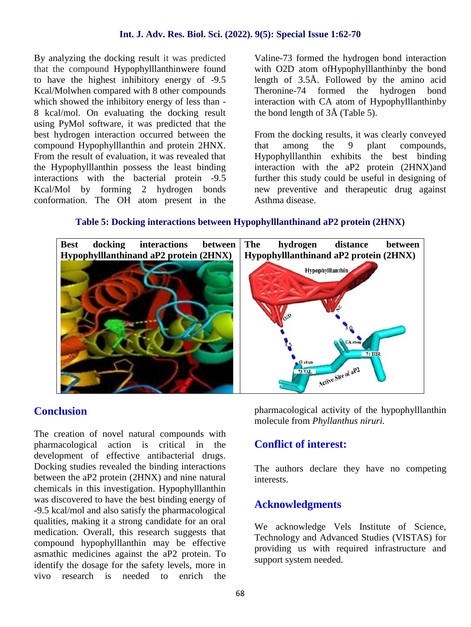By analyzing the docking result it was predicted that the compound Hypophylllanthinwere found to have the highest inhibitory energy of -9.5 Kcal/Molwhen compared with 8 other compounds which showed the inhibitory energy of less than - 8 kcal/mol. On evaluating the docking result using PyMol software, it was predicted that the best hydrogen interaction occurred between the compound Hypophylllanthin and protein 2HNX. From the result of evaluation, it was revealed that the Hypophylllanthin possess the least binding interactions with the bacterial protein -9.5 Kcal/Mol by forming 2 hydrogen bonds conformation. The OH atom present in the

Valine-73 formed the hydrogen bond interaction with O2D atom ofHypophylllanthinby the bond length of 3.5Å. Followed by the amino acid Theronine-74 formed the hydrogen bond interaction with CA atom of Hypophylllanthinby the bond length of 3Å (Table 5).

From the docking results, it was clearly conveyed that among the 9 plant compounds, Hypophylllanthin exhibits the best binding interaction with the aP2 protein (2HNX)and further this study could be useful in designing of new preventive and therapeutic drug against Asthma disease.

#### **Table 5: Docking interactions between Hypophylllanthinand aP2 protein (2HNX)**



# **Conclusion**

The creation of novel natural compounds with pharmacological action is critical in the development of effective antibacterial drugs. Docking studies revealed the binding interactions between the aP2 protein (2HNX) and nine natural chemicals in this investigation. Hypophylllanthin was discovered to have the best binding energy of -9.5 kcal/mol and also satisfy the pharmacological qualities, making it a strong candidate for an oral medication. Overall, this research suggests that compound hypophylllanthin may be effective asmathic medicines against the aP2 protein. To identify the dosage for the safety levels, more in vivo research is needed to enrich the

pharmacological activity of the hypophylllanthin molecule from *Phyllanthus niruri.*

# **Conflict of interest:**

The authors declare they have no competing interests.

# **Acknowledgments**

We acknowledge Vels Institute of Science, Technology and Advanced Studies (VISTAS) for providing us with required infrastructure and support system needed.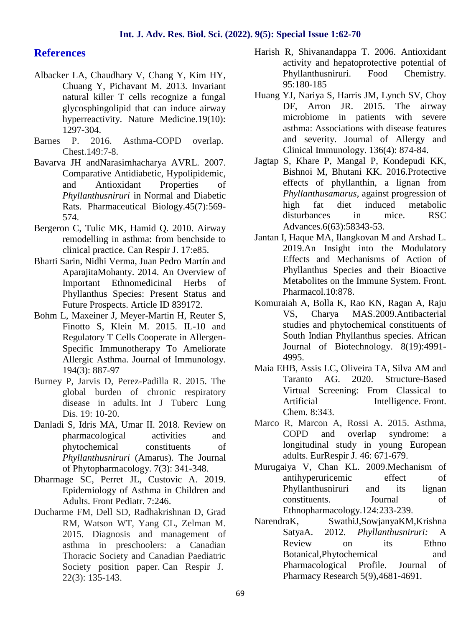#### **References**

- Albacker LA, Chaudhary V, Chang Y, Kim HY, Chuang Y, Pichavant M. 2013. Invariant natural killer T cells recognize a fungal glycosphingolipid that can induce airway hyperreactivity. Nature Medicine.19(10): 1297-304.
- Barnes P. 2016. Asthma-COPD overlap. Chest.149:7-8.
- Bavarva JH andNarasimhacharya AVRL. 2007. Comparative Antidiabetic, Hypolipidemic, and Antioxidant Properties of *Phyllanthusniruri* in Normal and Diabetic Rats. Pharmaceutical Biology.45(7):569- 574.
- Bergeron C, Tulic MK, Hamid Q. 2010. Airway remodelling in asthma: from benchside to clinical practice. Can Respir J. 17:e85.
- Bharti Sarin, Nidhi Verma, Juan Pedro Martín and AparajitaMohanty. 2014. An Overview of Important Ethnomedicinal Herbs of Phyllanthus Species: Present Status and Future Prospects. Article ID 839172.
- Bohm L, Maxeiner J, Meyer-Martin H, Reuter S, Finotto S, Klein M. 2015. IL-10 and Regulatory T Cells Cooperate in Allergen- Specific Immunotherapy To Ameliorate Allergic Asthma. Journal of Immunology. 194(3): 887-97
- Burney P, Jarvis D, Perez-Padilla R. 2015. The global burden of chronic respiratory disease in adults. Int J Tuberc Lung Dis. 19: 10-20.
- Danladi S, Idris MA, Umar II. 2018. Review on pharmacological activities and phytochemical constituents of *Phyllanthusniruri* (Amarus). The Journal of Phytopharmacology. 7(3): 341-348.
- Dharmage SC, Perret JL, Custovic A. 2019. Epidemiology of Asthma in Children and Adults. Front Pediatr. 7:246.
- Ducharme FM, Dell SD, Radhakrishnan D, Grad<br>RM Watson WT Yang CL Zelman M NarendraK, RM, Watson WT, Yang CL, Zelman M. 2015. Diagnosis and management of asthma in preschoolers: a Canadian Thoracic Society and Canadian Paediatric Society position paper. Can Respir J*.* 22(3): 135-143.
- Harish R, Shivanandappa T. 2006. Antioxidant activity and hepatoprotective potential of Phyllanthusniruri. Food Chemistry. 95:180-185
- Huang YJ, Nariya S, Harris JM, Lynch SV, Choy DF, Arron JR. 2015. The airway microbiome in patients with severe asthma: Associations with disease features and severity. Journal of Allergy and Clinical Immunology. 136(4): 874-84.
- Jagtap S, Khare P, Mangal P, Kondepudi KK, Bishnoi M, Bhutani KK. 2016.Protective effects of phyllanthin, a lignan from *Phyllanthusamarus*, against progression of high fat diet induced metabolic disturbances in mice. RSC Advances.6(63):58343-53.
- Jantan I, Haque MA, Ilangkovan M and Arshad L. 2019.An Insight into the Modulatory Effects and Mechanisms of Action of Phyllanthus Species and their Bioactive Metabolites on the Immune System. Front. Pharmacol.10:878.
- Komuraiah A, Bolla K, Rao KN, Ragan A, Raju VS, Charya MAS.2009.Antibacterial studies and phytochemical constituents of South Indian Phyllanthus species. African Journal of Biotechnology. 8(19):4991- 4995.
- Maia EHB, Assis LC, Oliveira TA, Silva AM and Taranto AG. 2020. Structure-Based Virtual Screening: From Classical to Artificial Intelligence. Front. Chem*.* 8:343.
- Marco R, Marcon A, Rossi A. 2015. Asthma, COPD and overlap syndrome: a longitudinal study in young European adults. EurRespir J*.* 46: 671-679.
- Murugaiya V, Chan KL. 2009.Mechanism of antihyperuricemic effect of Phyllanthusniruri and its lignan constituents. Journal of Ethnopharmacology.124:233-239.
- SwathiJ,SowjanyaKM,Krishna SatyaA. 2012. *Phyllanthusniruri:* A Review on its Ethno Botanical,Phytochemical and Pharmacological Profile. Journal of Pharmacy Research 5(9),4681-4691.